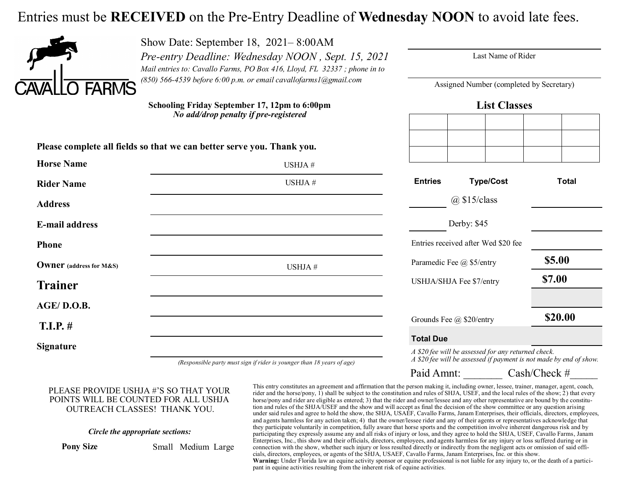## Entries must be **RECEIVED** on the Pre-Entry Deadline of **Wednesday NOON** to avoid late fees.

USHJA #



**Horse Name**

Show Date: September 18, 2021– 8:00AM *Pre-entry Deadline: Wednesday NOON , Sept. 15, 2021 Mail entries to: Cavallo Farms, PO Box 416, Lloyd, FL 32337 ; phone in to (850) 566-4539 before 6:00 p.m. or email cavallofarms1@gmail.com* 

Last Name of Rider

Assigned Number (completed by Secretary)

**Schooling Friday September 17, 12pm to 6:00pm** *No add/drop penalty if pre-registered*

**Please complete all fields so that we can better serve you. Thank you.**

**List Classes**

| Entrico | Tumall | $T0$ tol |
|---------|--------|----------|
|         |        |          |
|         |        |          |
|         |        |          |

| <b>Rider Name</b>              | USHJA#                                                                         | <b>Type/Cost</b><br><b>Entries</b>                                                                                        | <b>Total</b> |  |
|--------------------------------|--------------------------------------------------------------------------------|---------------------------------------------------------------------------------------------------------------------------|--------------|--|
| <b>Address</b>                 |                                                                                | $(a)$ \$15/class                                                                                                          |              |  |
| <b>E-mail address</b>          |                                                                                | Derby: \$45                                                                                                               |              |  |
| <b>Phone</b>                   |                                                                                | Entries received after Wed \$20 fee                                                                                       |              |  |
| <b>Owner</b> (address for M&S) | USHJA#                                                                         | Paramedic Fee @ \$5/entry                                                                                                 | \$5.00       |  |
| <b>Trainer</b>                 |                                                                                | USHJA/SHJA Fee \$7/entry                                                                                                  | \$7.00       |  |
| AGE/D.O.B.                     |                                                                                |                                                                                                                           |              |  |
| $T.I.P.$ #                     |                                                                                | Grounds Fee @ \$20/entry                                                                                                  | \$20.00      |  |
|                                |                                                                                | <b>Total Due</b>                                                                                                          |              |  |
| <b>Signature</b>               | ( <i>Demonsible party must sign if widow is your goy than</i> 18 years of ago) | A \$20 fee will be assessed for any returned check.<br>A \$20 fee will be assessed if payment is not made by end of show. |              |  |

*(Responsible party must sign if rider is younger than 18 years of age)*

Paid Amnt: Cash/Check #

## PLEASE PROVIDE USHJA #'S SO THAT YOUR POINTS WILL BE COUNTED FOR ALL USHJA OUTREACH CLASSES! THANK YOU.

## *Circle the appropriate sections:*

**Pony Size** Small Medium Large

This entry constitutes an agreement and affirmation that the person making it, including owner, lessee, trainer, manager, agent, coach, rider and the horse/pony, 1) shall be subject to the constitution and rules of SHJA, USEF, and the local rules of the show; 2) that every horse/pony and rider are eligible as entered; 3) that the rider and owner/lessee and any other representative are bound by the constitution and rules of the SHJA/USEF and the show and will accept as final the decision of the show committee or any question arising under said rules and agree to hold the show, the SHJA, USAEF, Cavallo Farms, Janam Enterprises, their officials, directors, employees, and agents harmless for any action taken; 4) that the owner/lessee rider and any of their agents or representatives acknowledge that they participate voluntarily in competition, fully aware that horse sports and the competition involve inherent dangerous risk and by participating they expressly assume any and all risks of injury or loss, and they agree to hold the SHJA, USEF, Cavallo Farms, Janam Enterprises, Inc., this show and their officials, directors, employees, and agents harmless for any injury or loss suffered during or in connection with the show, whether such injury or loss resulted directly or indirectly from the negligent acts or omission of said officials, directors, employees, or agents of the SHJA, USAEF, Cavallo Farms, Janam Enterprises, Inc. or this show. **Warning:** Under Florida law an equine activity sponsor or equine professional is not liable for any injury to, or the death of a participant in equine activities resulting from the inherent risk of equine activities.